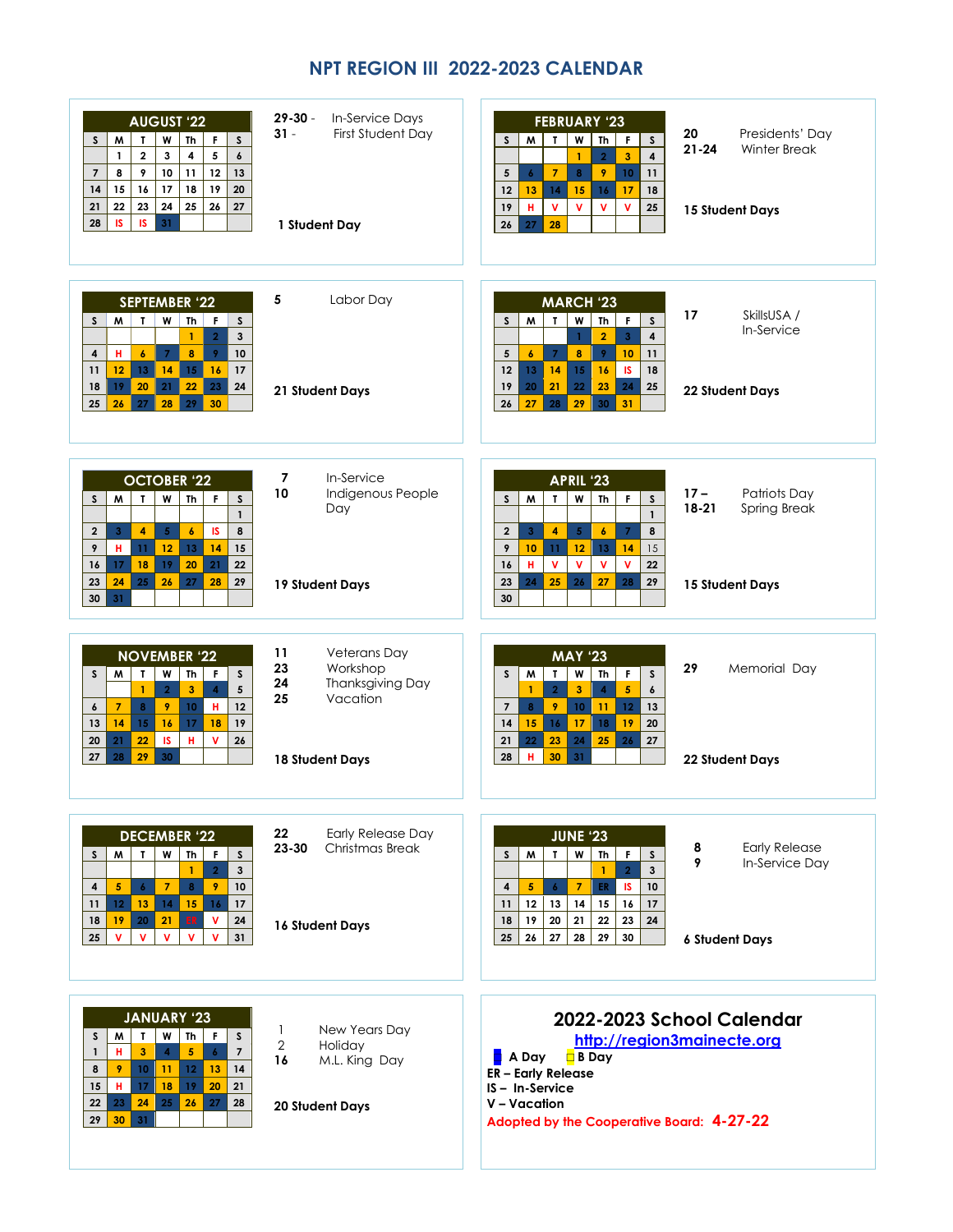## **NPT REGION III 2022-2023 CALENDAR**